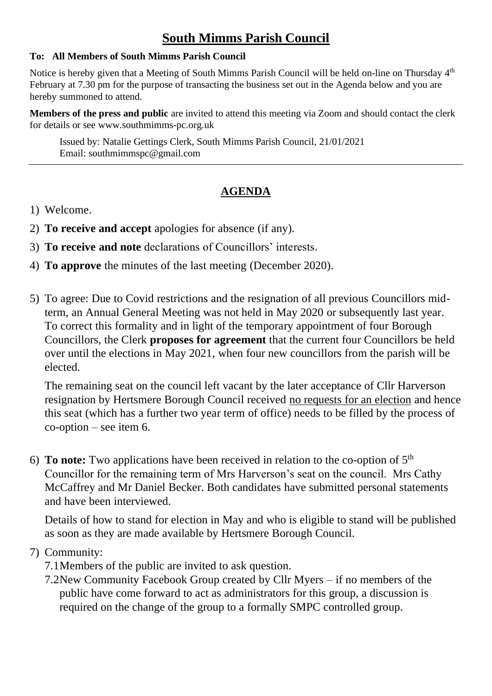# **South Mimms Parish Council**

#### **To: All Members of South Mimms Parish Council**

Notice is hereby given that a Meeting of South Mimms Parish Council will be held on-line on Thursday 4<sup>th</sup> February at 7.30 pm for the purpose of transacting the business set out in the Agenda below and you are hereby summoned to attend.

**Members of the press and public** are invited to attend this meeting via Zoom and should contact the clerk for details or see [www.southmimms-pc.org.uk](http://www.southmimms-pc.org.uk/)

Issued by: Natalie Gettings Clerk, South Mimms Parish Council, 21/01/2021 Email: southmimmspc@gmail.com

# **AGENDA**

- 1) Welcome.
- 2) **To receive and accept** apologies for absence (if any).
- 3) **To receive and note** declarations of Councillors' interests.
- 4) **To approve** the minutes of the last meeting (December 2020).
- 5) To agree: Due to Covid restrictions and the resignation of all previous Councillors midterm, an Annual General Meeting was not held in May 2020 or subsequently last year. To correct this formality and in light of the temporary appointment of four Borough Councillors, the Clerk **proposes for agreement** that the current four Councillors be held over until the elections in May 2021, when four new councillors from the parish will be elected.

The remaining seat on the council left vacant by the later acceptance of Cllr Harverson resignation by Hertsmere Borough Council received no requests for an election and hence this seat (which has a further two year term of office) needs to be filled by the process of co-option – see item 6.

6) **To note:** Two applications have been received in relation to the co-option of 5th Councillor for the remaining term of Mrs Harverson's seat on the council. Mrs Cathy McCaffrey and Mr Daniel Becker. Both candidates have submitted personal statements and have been interviewed.

Details of how to stand for election in May and who is eligible to stand will be published as soon as they are made available by Hertsmere Borough Council.

## 7) Community:

- 7.1Members of the public are invited to ask question.
- 7.2New Community Facebook Group created by Cllr Myers if no members of the public have come forward to act as administrators for this group, a discussion is required on the change of the group to a formally SMPC controlled group.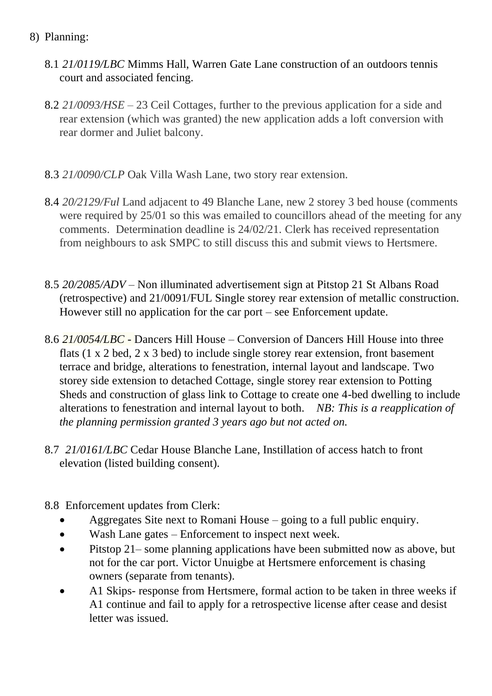- 8) Planning:
	- 8.1 *21/0119/LBC* Mimms Hall, Warren Gate Lane construction of an outdoors tennis court and associated fencing.
	- 8.2 *21/0093/HSE* 23 Ceil Cottages, further to the previous application for a side and rear extension (which was granted) the new application adds a loft conversion with rear dormer and Juliet balcony.
	- 8.3 *21/0090/CLP* Oak Villa Wash Lane, two story rear extension.
	- 8.4 *20/2129/Ful* Land adjacent to 49 Blanche Lane, new 2 storey 3 bed house (comments were required by 25/01 so this was emailed to councillors ahead of the meeting for any comments. Determination deadline is 24/02/21. Clerk has received representation from neighbours to ask SMPC to still discuss this and submit views to Hertsmere.
	- 8.5 *20/2085/ADV* Non illuminated advertisement sign at Pitstop 21 St Albans Road (retrospective) and 21/0091/FUL Single storey rear extension of metallic construction. However still no application for the car port – see Enforcement update.
	- 8.6 *21/0054/LBC*  Dancers Hill House Conversion of Dancers Hill House into three flats (1 x 2 bed, 2 x 3 bed) to include single storey rear extension, front basement terrace and bridge, alterations to fenestration, internal layout and landscape. Two storey side extension to detached Cottage, single storey rear extension to Potting Sheds and construction of glass link to Cottage to create one 4-bed dwelling to include alterations to fenestration and internal layout to both. *NB: This is a reapplication of the planning permission granted 3 years ago but not acted on.*
	- 8.7 *21/0161/LBC* Cedar House Blanche Lane, Instillation of access hatch to front elevation (listed building consent).
	- 8.8 Enforcement updates from Clerk:
		- Aggregates Site next to Romani House going to a full public enquiry.
		- Wash Lane gates Enforcement to inspect next week.
		- Pitstop 21– some planning applications have been submitted now as above, but not for the car port. Victor Unuigbe at Hertsmere enforcement is chasing owners (separate from tenants).
		- A1 Skips- response from Hertsmere, formal action to be taken in three weeks if A1 continue and fail to apply for a retrospective license after cease and desist letter was issued.